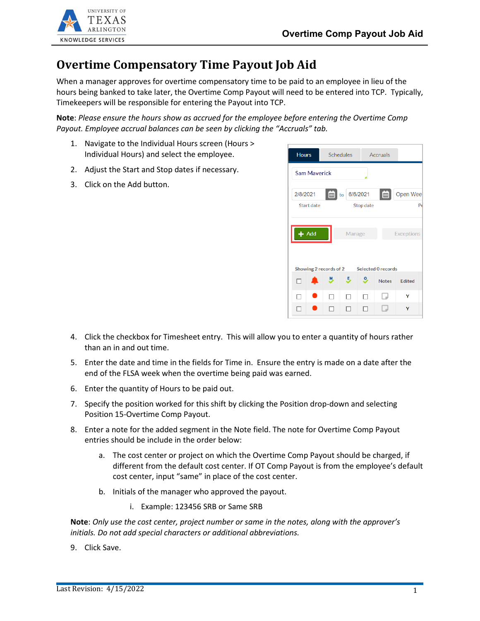

## **Overtime Compensatory Time Payout Job Aid**

When a manager approves for overtime compensatory time to be paid to an employee in lieu of the hours being banked to take later, the Overtime Comp Payout will need to be entered into TCP. Typically, Timekeepers will be responsible for entering the Payout into TCP.

**Note**: *Please ensure the hours show as accrued for the employee before entering the Overtime Comp Payout. Employee accrual balances can be seen by clicking the "Accruals" tab.*

- 1. Navigate to the Individual Hours screen (Hours > Individual Hours) and select the employee.
- 2. Adjust the Start and Stop dates if necessary.
- 3. Click on the Add button.



- 4. Click the checkbox for Timesheet entry. This will allow you to enter a quantity of hours rather than an in and out time.
- 5. Enter the date and time in the fields for Time in. Ensure the entry is made on a date after the end of the FLSA week when the overtime being paid was earned.
- 6. Enter the quantity of Hours to be paid out.
- 7. Specify the position worked for this shift by clicking the Position drop-down and selecting Position 15-Overtime Comp Payout.
- 8. Enter a note for the added segment in the Note field. The note for Overtime Comp Payout entries should be include in the order below:
	- a. The cost center or project on which the Overtime Comp Payout should be charged, if different from the default cost center. If OT Comp Payout is from the employee's default cost center, input "same" in place of the cost center.
	- b. Initials of the manager who approved the payout.
		- i. Example: 123456 SRB or Same SRB

**Note**: *Only use the cost center, project number or same in the notes, along with the approver's initials. Do not add special characters or additional abbreviations.*

9. Click Save.